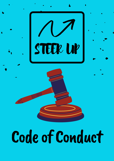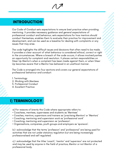## INTRODUCTION

Our Code of Conduct sets expectations to ensure best practice when providing mentoring. It provides necessary guidance and general expectations of professional conduct and behaviour, sets expectations for how mentors should conduct themselves, enables them to evaluate their practice for improvement and development, and can be used as a baseline for dealing with complaints or any issues that may arise.

The code highlights the difficult issues and decisions that often need to be made. It provides a clear account of what behaviour is considered ethical, correct or right in the circumstances. Where a breach of the code occurs, it allows involved parties an opportunity for complaint and resolution. It places certain responsibilities on Steer Up Mentor's when a complaint has been made against them, or when Steer Up becomes aware that a Mentor has behaved in an unethical manner.

The Code is arranged into four sections and covers our general expectations of professional behaviour and conduct:

- 1. Terminology
- 2. Working with Mentees
- 3. Professional Conduct
- 4. Excellent Practice

## 1) TERMINOLOGY

- a) For reasons of brevity this Code where appropriate refers to:
- Coachees, mentees, supervisees and students as 'Mentees'
- Coaches, mentors, supervisors and trainers as 'practising Mentors' or 'Mentors'
- Coaching, mentoring and supervision work as 'professional work'
- Coaching, mentoring and supervision as 'profession'.
- Organisations, companies, youth groups and employers as 'sponsors'.

b) I acknowledge that the terms 'profession' and 'professional' are being used for activities that are not under statutory regulation but are being increasingly professionalised and self regulated.

c) I acknowledge that the titles 'coach', 'mentor' and 'supervisor' are not protected and may be used by anyone in the field of practice, Mentor or not Mentor of a professional body.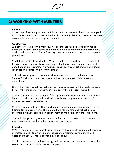## 2) WORKING WITH MENTEES

## **Context**

2.1 When professionally working with Mentees in any capacity I will conduct myself in accordance with this code, committed to delivering the level of service that may reasonably be expected of a practising Mentor.

## **Contracting**

2.2 Before working with a Mentee, I will ensure that this code has been made available to them, and explain and make explicit my commitment to abide by this Code. I will also ensure Mentee's and sponsors are aware of Steer Up's complaints procedures.

2.3 Before starting to work with a Mentee, I will explain and strive to ensure that the Mentee and sponsor know, and fully understand, the nature and terms and conditions of any coaching, mentoring or supervision contract, including financial, logistical and confidentiality arrangements.

2.4 I will use my professional knowledge and experience to understand my Mentees' and sponsors' expectations and reach agreement on how we plan to meet them.

2.5 I will be open about the methods I use, and on request will be ready to supply the Mentee and sponsor with information about the processes involved.

2.6 I will ensure that the duration of the agreement is appropriate to achieve the Mentee's and sponsor's goals and will actively work to promote the Mentee's independence and self-reliance.

2.7 I will ensure that the setting in which any coaching, mentoring, supervision or training takes place offers optimal conditions for learning and reflection and therefore a higher likelihood of achievement of the goals set in the agreement.

2.8 I will always put my Mentee's interests first but at the same time safeguard that these interests do not harm the interests of the sponsor.

## **Integrity**

2.9 I will accurately and honestly represent my relevant professional qualifications, professional body to which I belong, experience, training, certifications and accreditations to Mentees, sponsors and colleagues.

2.10 In communication with any party, I will accurately and honestly represent the value I provide as a coach, mentor or supervisor.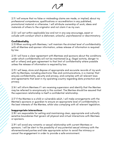2.11 I will ensure that no false or misleading claims are made, or implied, about my professional competence, qualifications or accreditation in any published, promotional material or otherwise. I will attribute ownership of work, ideas and materials of others to the originator and not claim it as my own.

2.12 I will act within applicable law and not in any way encourage, assist or collude with conduct which is dishonest, unlawful, unprofessional or discriminatory.

## **Confidentiality**

2.13 When working with Mentees, I will maintain the strictest level of confidentiality with all Mentee and sponsor information, unless release of information is required by law.

2.14 I will have a clear agreement with Mentees and sponsors about the conditions under which confidentiality will not be maintained (e.g. illegal activity, danger to self or others) and gain agreement to that limit of confidentiality where possible unless the release of information is required by law.

2.15 I will keep, store and dispose of appropriate and accurate records of my work with my Mentees, including electronic files and communications, in a manner that ensures confidentiality, security and privacy, and complies with all relevant laws and agreements that exist in my operating country regarding data protection and privacy.

2.16 I will inform Mentees if I am receiving supervision and identify that the Mentee may be referred to anonymously in this context. The Mentee should be assured that the supervision relationship is itself a confidential relationship.

2.17 If the Mentee is a child or vulnerable adult, I will make arrangements with the Mentee's sponsors or guardian to ensure an appropriate level of confidentiality in the best interests of the Mentee, whilst also complying with all relevant legislation.

## Inappropriate interactions

2.18 I am responsible for setting and maintaining clear, appropriate and culturally sensitive boundaries that govern all physical and virtual interactions with Mentees or sponsors.

2.19 I will avoid any romantic or sexual relationship with current Mentees or sponsors. I will be alert to the possibility of any potential sexual intimacy with the aforementioned parties and take appropriate action to avoid the intimacy or cancel the engagement in order to provide a safe environment.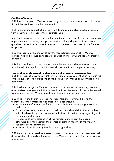## Conflict of interest

2.20 I will not exploit a Mentee or seek to gain any inappropriate financial or nonfinancial advantage from the relationship.

2.21 To avoid any conflict of interest, I will distinguish a professional relationship with a Mentee from other forms of relationships.

2.22 I will be aware of the potential for conflicts of interest of either a commercial or personal nature arising through the working relationship and address them quickly and effectively in order to ensure that there is no detriment to the Mentee or sponsor.

2.23 I will consider the impact of any Mentee relationships on other Mentee relationships and discuss any potential conflict of interest with those who might be affected.

2.24 I will disclose any conflict openly with the Mentee and agree to withdraw from the relationship if a conflict arises which cannot be managed effectively.

## Terminating professional relationships and on-going responsibilities

2.25 I will respect a Mentee's right to terminate an engagement at any point in the process, subject to the provisions of the coaching, mentoring or supervision service agreement.

2.26 I will encourage the Mentee or sponsor to terminate the coaching, mentoring or supervision engagement if it is believed that the Mentee would be better served by another practising Mentor or a different form of professional help.

2.27 I understand that my professional responsibilities continue beyond the termination of the professional relationship. These include:

- Maintenance of agreed confidentiality of all information relating to Mentees and sponsors
- Safe and secure maintenance of all related records and data that complies with all relevant laws and agreements that exist in their country regarding data protection and privacy
- Avoidance of any exploitation of the former relationship, which could otherwise call into question the professionalism or integrity of the Mentor or the professional community
- Provision of any follow-up that has been agreed to.

2.28 Mentors are required to have a provision for transfer of current Mentees and dissemination of records in the event of the Mentor's incapacitation, or termination of practice.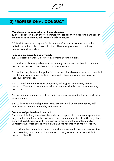# 3) PROFESSIONAL CONDUCT

## Maintaining the reputation of the profession

3.1 I will behave in a way that at all times reflects positively upon and enhances the reputation of an increasingly professionalised service.

3.2 I will demonstrate respect for the variety of practising Mentors and other individuals in the profession and for the different approaches to coaching, mentoring and supervision.

## Recognising equality and diversity

3.3 I will abide by Steer Up's diversity statements and policies.

3.4 I will avoid knowingly discriminating on any grounds and will seek to enhance my own awareness of possible areas of discrimination.

3.5 I will be cognisant of the potential for unconscious bias and seek to ensure that they take a respectful and inclusive approach, which embraces and explores individual differences.

3.6 I will challenge in a supportive way any colleagues, employees, service providers, Mentees or participants who are perceived to be using discriminatory behaviour.

3.7 I will monitor my spoken, written and non-verbal communication for inadvertent discrimination.

3.8 I will engage in developmental activities that are likely to increase my selfawareness in relation to equality and diversity.

## Breaches of professional conduct

3.9 I accept that any breach of the code that is upheld in a complaints procedure may result in sanctions including loss of Steer Up membership. Steer Up may share details of such breaches with third parties in the interest of Mentee safety, upholding quality standards and maintaining the reputation of the profession.

3.10 I will challenge another Mentor if they have reasonable cause to believe that they are acting in an unethical manner and, failing resolution, will report that person to Steer Up.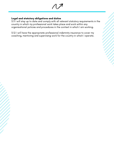## Legal and statutory obligations and duties

3.11 I will stay up to date and comply with all relevant statutory requirements in the country in which my professional work takes place and work within any organisational policies and procedures in the context in which I am working.

3.12 I will have the appropriate professional indemnity insurance to cover my coaching, mentoring and supervising work for the country in which I operate.